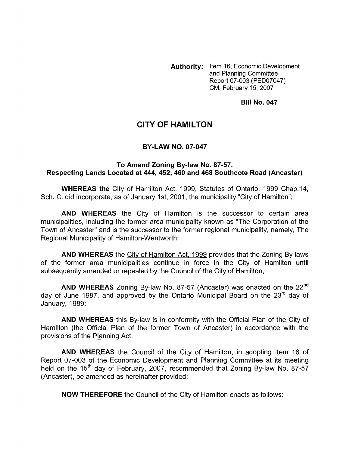**Authority:** Item 16, Economic Development and Planning Committee Report 07-003 (PED07047) CM: February 15,2007

**Bill No. 047** 

## **CITY OF HAMILTON**

## **BY-LAW NO. 07-047**

## **To Amend Zoning By-law No. 87-57, Respecting Lands Located at 444,452,460 and 468 Southcote Road (Ancaster)**

**WHEREAS the** City of Hamilton Act. 1999, Statutes of Ontario, 1999 Chap.14, Sch. C. did incorporate, as of January 1st, 2001, the municipality "City of Hamilton";

**AND WHEREAS** the City of Hamilton is the successor to certain area municipalities, including the former area municipality known as "The Corporation of the Town of Ancaster" and is the successor to the former regional municipality, namely, The Regional Municipality of Hamilton-Wentworth;

**AND WHEREAS** the City of Hamilton Act, 1999 provides that the Zoning By-laws of the former area municipalities continue in force in the City of Hamilton until subsequently amended or repealed by the Council of the City of Hamilton;

**AND WHEREAS** Zoning By-law No. 87-57 (Ancaster) was enacted on the 22"d day of June 1987, and approved by the Ontario Municipal Board on the  $23<sup>rd</sup>$  day of January, 1989;

**AND WHEREAS** this By-law is in conformity with the Official Plan of the City of Hamilton (the Official Plan of the former Town of Ancaster) in accordance with the provisions of the Planning Act;

**AND WHEREAS** the Council of the City of Hamilton, in adopting Item 16 of Report 07-003 of the Economic Development and Planning Committee at its meeting held on the 15<sup>th</sup> day of February, 2007, recommended that Zoning By-law No. 87-57 (Ancaster), be amended as hereinafter provided;

**NOW THEREFORE** the Council of the City of Hamilton enacts as follows: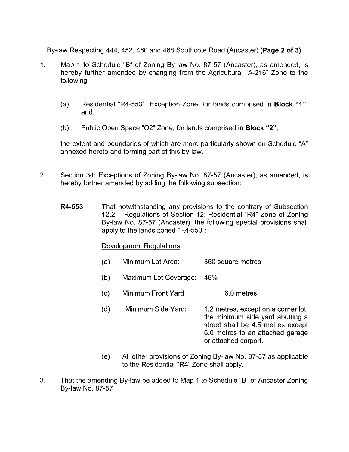By-law Respecting 444,452,460 and 468 Southcote Road (Ancaster) **(Page 2 of 3)** 

- 1. Map 1 to Schedule "B" of Zoning By-law No. 87-57 (Ancaster), as amended, is hereby further amended by changing from the Agricultural "A-216'' Zone to the following:
	- (a) Residential "R4-553" Exception Zone, for lands comprised in **Block "1";**  and,
	- (b) Public Open Space "02" Zone, for lands comprised in **Block "2",**

the extent and boundaries of which are more particularly shown on Schedule "A" annexed hereto and forming part of this by-law.

- 2. Section 34: Exceptions of Zoning By-law No. 87-57 (Ancaster), as amended, is hereby further amended by adding the following subsection:
	- **R4-553** That notwithstanding any provisions to the contrary of Subsection 12.2 - Regulations of Section 12: Residential "R4" Zone of Zoning By-law No. 87-57 (Ancaster), the following special provisions shall apply to the lands zoned "R4-553":

## Development Regulations:

- (a) Minimum Lot Area: 360 square metres
- (b) Maximum Lot Coverage: 45%
- (c) Minimum Front Yard: 6.0 metres
- (d) Minimum Side Yard: 1.2 metres, except on a corner lot, the minimum side yard abutting a street shall be 4.5 metres except 6.0 metres to an attached garage or attached carport.
- (e) All other provisions of Zoning By-law No. 87-57 as applicable to the Residential "R4" Zone shall apply.
- **3.** That the amending By-law be added to Map 1 to Schedule "B" of Ancaster Zoning By-law No. 87-57.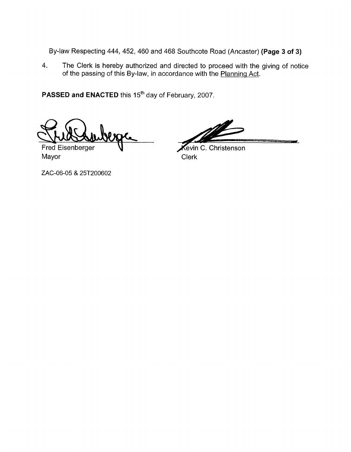By-law Respecting 444, 452, 460 and 468 Southcote Road (Ancaster) **(Page 3 of 3)** 

4. The Clerk is hereby authorized and directed to proceed with the giving of notice of the passing of this By-law, in accordance with the Planning Act.

**PASSED and ENACTED** this 15<sup>th</sup> day of February, 2007.

Fred Eisenberger Mayor **Mayor** Clerk

Kevin C. Christenson

ZAC-06-05 & 25T200602